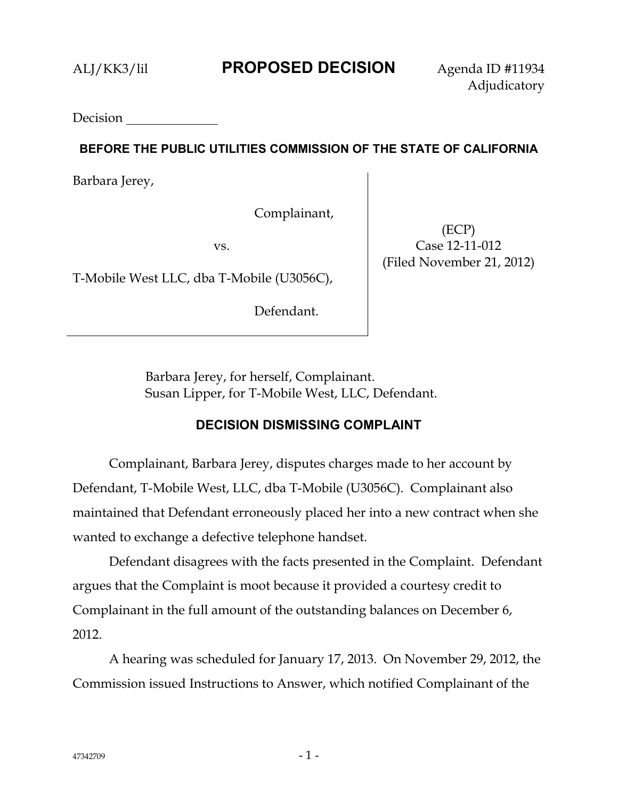**Decision** 

# **BEFORE THE PUBLIC UTILITIES COMMISSION OF THE STATE OF CALIFORNIA**

Barbara Jerey,

Complainant,

vs.

T-Mobile West LLC, dba T-Mobile (U3056C),

Defendant.

(ECP) Case 12-11-012 (Filed November 21, 2012)

Barbara Jerey, for herself, Complainant. Susan Lipper, for T-Mobile West, LLC, Defendant.

# **DECISION DISMISSING COMPLAINT**

Complainant, Barbara Jerey, disputes charges made to her account by Defendant, T-Mobile West, LLC, dba T-Mobile (U3056C). Complainant also maintained that Defendant erroneously placed her into a new contract when she wanted to exchange a defective telephone handset.

Defendant disagrees with the facts presented in the Complaint. Defendant argues that the Complaint is moot because it provided a courtesy credit to Complainant in the full amount of the outstanding balances on December 6, 2012.

A hearing was scheduled for January 17, 2013. On November 29, 2012, the Commission issued Instructions to Answer, which notified Complainant of the